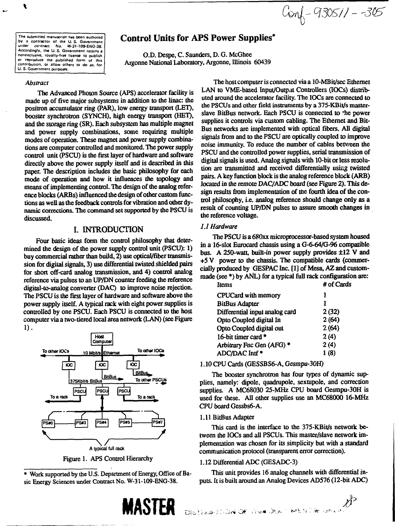**The submitted manuscript has been authored by a contractor of the U. S- Government unaer co-ttracx No. W-3M09-ENG-38. Accordingly, the U. S. Government retains a nonexclusive, royalty-free license to publish or reproduce the published form of this contribution, or allow others to do 50, for U. S. Government purposes.**

 $Covf - 930511 - 305$ 

# **Control Units for APS Power Supplies\***

O.D. Despe, C. Saunders, D. G. McGhee Argonne National Laboratory, Argonne, Illinois 60439

#### *Abstract*

The Advanced Photon Source (APS) accelerator facility is made up of five major subsystems in addition to the linac: the positron accumulator ring (PAR), low energy transport (LET), booster synchrotron (SYNCH), high energy transport (HET), and the storage ring (SR). Each subsystem has multiple magnet and power supply combinations, some requiring multiple modes of operation. These magnet and power supply combinations are computer controlled and monitored. The power supply control unit (PSCU) is the first layer of hardware and software directly above the power supply itself and is described in this paper. The description includes the basic philosophy for each mode of operation and how it influences the topology and means of implementing control. The design of the analog reference blocks (ARBs) influenced the design of other custom functions as well as the feedback controls for vibration and other dynamic corrections. The command set supported by the PSCU is discussed.

### I. INTRODUCTION

Four basic ideas form the control philosophy that determined the design of the power supply control unit (PSCU): 1) buy commercial rather than build, 2) use optical/fiber transmission for digital signals, 3) use differential twisted shielded pairs for short off-card analog transmission, and 4) control analog reference via pulses to an UP/DN counter feeding the reference digital-to-analog converter (DAC) to improve noise rejection. The PSCU is the first layer of hardware and software above the power supply itself. A typical rack with eight power supplies is controlled by one PSCU. Each PSCU is connected to the host computer via a two-tiered local area network (LAN) (see Figure 1).



Figure 1. APS Control Hierarchy

\* Work supported by the U.S. Department of Energy, Office of Basic Energy Sciences under Contract No. W-31-109-ENG-38.



The host computer is connected via a *10-MBit/sec* Ethernet LAN to VME-based Input/Output Controllers (IOCs) distributed around the accelerator facility. The IOCs are connected to the PSCUs and other field instruments by a 375-KBit/s masterslave BitBus network. Each PSCU is connected to "he power supplies it controls via custom cabling. The Ethernet and Bit-Bus networks are implemented with optical fibers. All digital signals from and to the PSCU are optically coupled to improve noise immunity. To reduce the number of cables between the PSCU and the controlled power supplies, serial transmission of digital signals is used. Analog signals with 10-bit or less resolution are transmitted and received differentially using twisted pairs. A key function block is the analog reference block (ARB) located in the remote DAC/ADC board (see Figure 2). This design results from implementation of the fourth idea of the control philosophy, i.e. analog reference should change only as a result of counting UP/DN pulses to assure smooth changes in the reference voltage.

#### *1.1 Hardware*

The PSCU is a 680xx microprocessor-based system housed in a 16-slot Eurocard chassis using a G-6-64/G-96 compatible bus. A 250-watt, built-in power supply provides ±12 V and +5 V power to the chassis. The compatible cards (commercially produced by GESPAC Inc. [1] of Mesa, AZ and custommade (see \*) by ANL) for a typical full rack configuration are:

| Items                          | # of Cards |
|--------------------------------|------------|
| CPUCard with memory            | ı          |
| <b>BitBus Adapter</b>          | 1          |
| Differential input analog card | 2(32)      |
| Opto Coupled digital In        | 2(64)      |
| Opto Coupled digital out       | 2(64)      |
| 16-bit timer card $*$          | 2(4)       |
| Arbitrary Fnc Gen (AFG) *      | 2(4)       |
| ADC/DAC Intf *                 | 1(8)       |
|                                |            |

#### 1.10 CPU Cards (GESSBS6-A, Gesmpu-30H)

The booster synchrotron has four types of dynamic supplies, namely: dipole, quadrupole, sextupole, and correction supplies. A MC68030 25-MHz CPU board Gesmpu-30H is used for these. All other supplies use an MC68000 16-MHz CPU board Gessbs6-A.

#### 1.11 BitBus Adapter

This card is the interface to the 375-KBit/s network between the IOCs and all PSCUs. This master/slave network implementation was chosen for its simplicity but with a standard communication protocol (transparent error correction).

#### 1.12 Differential ADC (GESADC-3)

This unit provides 16 analog channels with differential inputs. It is built around an Analog Devices AD576 (12-bit ADC)

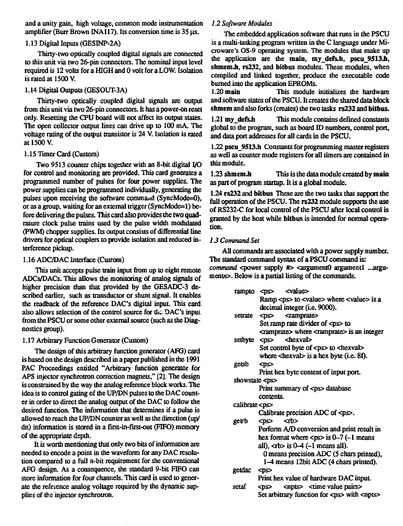and a unity gain, high voltage, common mode instrumentation amplifier (Burr Brown INA117). Its conversion time is 35 us.

### 1.13 Digital Inputs (GESINP-2A)

Thirty-two optically coupled digital signals are connected to this unit via two 26-pin connectors. The nominal input level required is 12 volts for a HIGH and 0 volt for a LOW. Isolation is rated at 1500 V.

#### 1.14 Digital Outputs (GESOUT-3A)

Thirty-two optically coupled digital signals are output from this unit via two 26-pin connectors. It has a power-on reset only. Resetting the CPU board will not affect its output states. The open collector output lines can drive up to 100 mA. The voltage rating of the output transistor is 24 V. Isolation is rated at 1500 V.

#### 1.15 Timer Card (Custom)

Two 9513 counter chips together with an 8-bit digital I/O for control and monitoring are provided. This card generates a programmed number of pulses for four power supplies. The power supplies can be programmed individually, generating the pulses upon receiving the software command (SyncMode=0), or as a group, waiting for an external trigger (SyncMode=l) before delivering the pulses. This card also provides the two quadrature clock pulse trains used by the pulse width modulated (PWM) chopper supplies. Its output consists of differential line drivers for optical couplers to provide isolation and reduced interference pickup.

#### 1.16 ADC/DAC Interface (Custom)

This unit accepts pulse train input from up to eight remote ADCs/DACs. This allows the monitoring of analog signals of higher precision than that provided by the GESADC-3 described earlier, such as transductor cr shunt signal. It enables the readback of the reference DAC's digital input. This card also allows selection of the control source for the DAC's input from the PSCU or some other external source (such as the Diagnostics group).

### 1.17 Arbitrary Function Generator (Custom)

The design of this arbitrary function generator (AFG) card is based on the design described in a paper published in the 1991 PAC Proceedings entitled "Arbitrary function generator for APS injector synchrotron correction magnets," [2]. The design is constrained by the way the analog reference block works. The idea is to control gating of the UP/DN pulses to the DAC counter in order to direct the analog output of the DAC to follow the desired function. The information that determines if a pulse is allowed to reach the UP/DN counter as well as the direction (up/ dn) information is stored in a first-in-first-out (FIFO) memory of the appropriate depth.

It is worth mentioning that only two bits of information are needed to encode a point in the waveform for any DAC resolution compared to a full n-bit requirement for the conventional AFG design. As a consequence, the standard 9-bit FIFO can store information for four channels. This card is used to generate the reference analog voltage required by the dynamic supplies of the injector synchrotron.

### *1.2 Software Modules*

The embedded application software that runs in the PSCU is a multi-tasking program written in the C language under Microware's OS-9 operating system. The modules that make up the application are the **main, my\_defs.h, pscu\_9513Ji,** shmem.h, rs232, and bitbus modules. These modules, when compiled and linked together, produce the executable code burned into the application EPROMs.

1.20 **main** This module initializes the hardware and software states of the PSCU. It creates the shared data block shmem and also forks (creates) the two tasks **rs232** and **bitbus.**

1.21 my defs.h This module contains defined constants global to the program, such as board ID numbers, control port, and data port addresses for all cards in die PSCU.

1.22 pscu\_9513.h Constants for programming master registers as well as counter mode registers for all timers are contained in this module.

**1**.23 **shmem.h** This is the data module created by **main** as part of program startup. It is a global module.

1.24 **rs232** and **bitbus** These are the two tasks that support the full operation of the PSCU. The **rs232** module supports the use of RS232-C for local control of the PSCU after local control is granted by the host while **bitbus** is intended for normal operation.

### *13 Command Set*

All commands are associated with a power supply number. The standard command syntax of a PSCU command is: *command* <power supply #> <argument0 argument1 ...argumentn>. Below is a partial listing of the commands.

|                      | rampto <ps> <value></value></ps>                          |
|----------------------|-----------------------------------------------------------|
|                      | Ramp $<$ ps $>$ to $<$ value $>$ where $<$ value $>$ is a |
|                      | decimal integer (i.e. 9000).                              |
| setrate              | <ps> <ramprate></ramprate></ps>                           |
|                      | Set ramp rate divider of <ps> to</ps>                     |
|                      | cramprate> where cramprate> is an integer                 |
| setbyte $<$ ps>      | <hexval></hexval>                                         |
|                      | Set control byte of <ps> to <hexval></hexval></ps>        |
|                      | where $\langle$ hexval> is a hex byte (i.e. 8f).          |
| getsb                | $<$ ps $>$                                                |
|                      | Print hex byte content of input port.                     |
| showstate $<$ ps $>$ |                                                           |
|                      | Print summary of <ps> database</ps>                       |
|                      | contents.                                                 |
| calibrate <ps></ps>  |                                                           |
|                      | Calibrate precision ADC of <ps>.</ps>                     |
| getrb                | $<$ tb><br><ds></ds>                                      |
|                      | Perform A/D conversion and print result in                |
|                      | hex format where $<$ ps> is 0-7 (-1 means                 |
|                      | all), $\text{ab}$ is 0-4 (-1 means all).                  |
|                      | 0 means precision ADC (5 chars printed),                  |
|                      | 1-4 means 12bit ADC (4 chars printed).                    |
| getdac               | $<$ ps $>$                                                |
|                      | Print hex value of hardware DAC input.                    |
| setaf                | $<$ ps> $<$ npts> $<$ time value pairs>                   |
|                      | Set arbitrary function for <ps> with <npts></npts></ps>   |
|                      |                                                           |